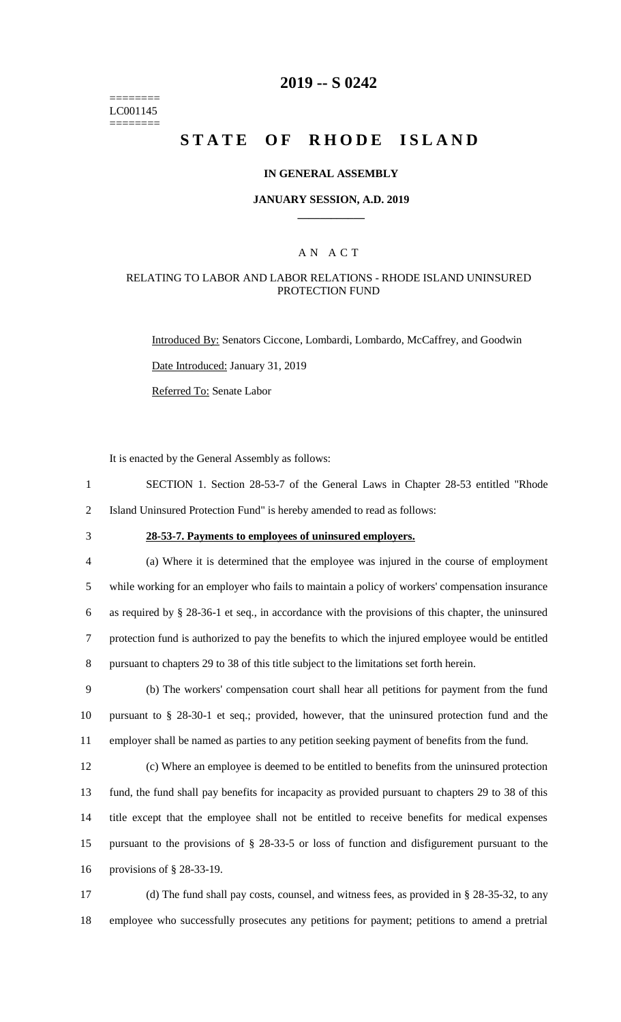======== LC001145 ========

## **2019 -- S 0242**

# **STATE OF RHODE ISLAND**

### **IN GENERAL ASSEMBLY**

### **JANUARY SESSION, A.D. 2019 \_\_\_\_\_\_\_\_\_\_\_\_**

### A N A C T

### RELATING TO LABOR AND LABOR RELATIONS - RHODE ISLAND UNINSURED PROTECTION FUND

Introduced By: Senators Ciccone, Lombardi, Lombardo, McCaffrey, and Goodwin

Date Introduced: January 31, 2019

Referred To: Senate Labor

It is enacted by the General Assembly as follows:

1 SECTION 1. Section 28-53-7 of the General Laws in Chapter 28-53 entitled "Rhode 2 Island Uninsured Protection Fund" is hereby amended to read as follows:

## 3 **28-53-7. Payments to employees of uninsured employers.**

 (a) Where it is determined that the employee was injured in the course of employment while working for an employer who fails to maintain a policy of workers' compensation insurance as required by § 28-36-1 et seq., in accordance with the provisions of this chapter, the uninsured protection fund is authorized to pay the benefits to which the injured employee would be entitled pursuant to chapters 29 to 38 of this title subject to the limitations set forth herein.

9 (b) The workers' compensation court shall hear all petitions for payment from the fund 10 pursuant to § 28-30-1 et seq.; provided, however, that the uninsured protection fund and the 11 employer shall be named as parties to any petition seeking payment of benefits from the fund.

 (c) Where an employee is deemed to be entitled to benefits from the uninsured protection fund, the fund shall pay benefits for incapacity as provided pursuant to chapters 29 to 38 of this title except that the employee shall not be entitled to receive benefits for medical expenses pursuant to the provisions of § 28-33-5 or loss of function and disfigurement pursuant to the provisions of § 28-33-19.

17 (d) The fund shall pay costs, counsel, and witness fees, as provided in § 28-35-32, to any 18 employee who successfully prosecutes any petitions for payment; petitions to amend a pretrial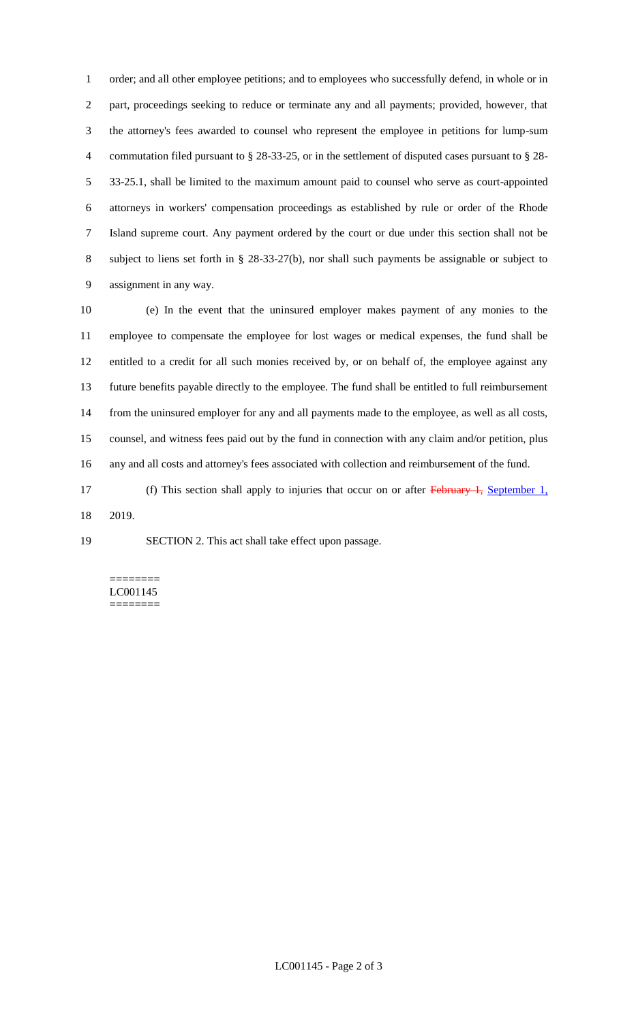order; and all other employee petitions; and to employees who successfully defend, in whole or in part, proceedings seeking to reduce or terminate any and all payments; provided, however, that the attorney's fees awarded to counsel who represent the employee in petitions for lump-sum commutation filed pursuant to § 28-33-25, or in the settlement of disputed cases pursuant to § 28- 33-25.1, shall be limited to the maximum amount paid to counsel who serve as court-appointed attorneys in workers' compensation proceedings as established by rule or order of the Rhode Island supreme court. Any payment ordered by the court or due under this section shall not be subject to liens set forth in § 28-33-27(b), nor shall such payments be assignable or subject to assignment in any way.

 (e) In the event that the uninsured employer makes payment of any monies to the employee to compensate the employee for lost wages or medical expenses, the fund shall be entitled to a credit for all such monies received by, or on behalf of, the employee against any future benefits payable directly to the employee. The fund shall be entitled to full reimbursement from the uninsured employer for any and all payments made to the employee, as well as all costs, counsel, and witness fees paid out by the fund in connection with any claim and/or petition, plus any and all costs and attorney's fees associated with collection and reimbursement of the fund.

17 (f) This section shall apply to injuries that occur on or after February 1, September 1, 2019.

SECTION 2. This act shall take effect upon passage.

======== LC001145 ========